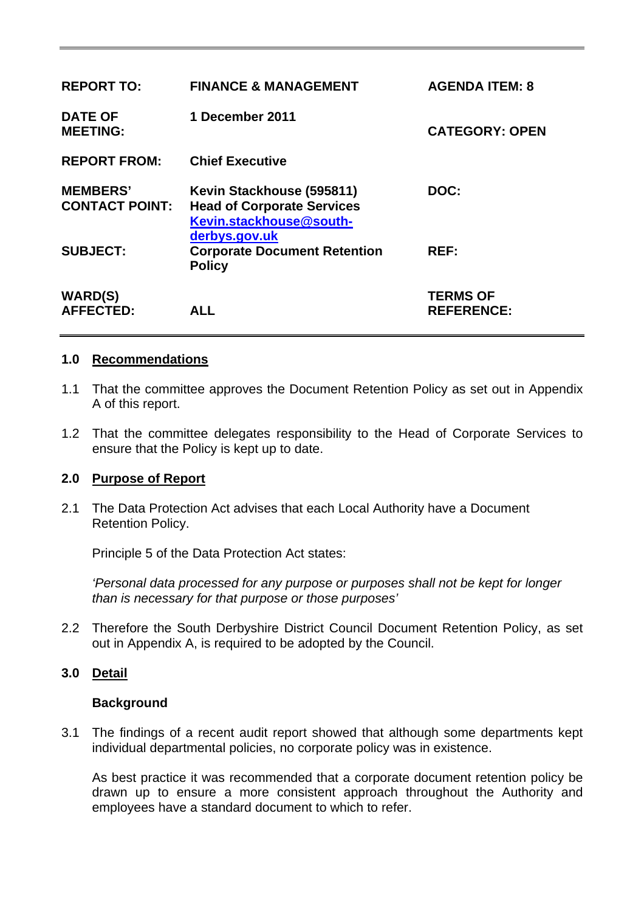| <b>REPORT TO:</b>                        | <b>FINANCE &amp; MANAGEMENT</b>                                                                            | <b>AGENDA ITEM: 8</b>                |
|------------------------------------------|------------------------------------------------------------------------------------------------------------|--------------------------------------|
| <b>DATE OF</b><br><b>MEETING:</b>        | 1 December 2011                                                                                            | <b>CATEGORY: OPEN</b>                |
| <b>REPORT FROM:</b>                      | <b>Chief Executive</b>                                                                                     |                                      |
| <b>MEMBERS'</b><br><b>CONTACT POINT:</b> | Kevin Stackhouse (595811)<br><b>Head of Corporate Services</b><br>Kevin.stackhouse@south-<br>derbys.gov.uk | DOC:                                 |
| <b>SUBJECT:</b>                          | <b>Corporate Document Retention</b><br><b>Policy</b>                                                       | REF:                                 |
| <b>WARD(S)</b><br><b>AFFECTED:</b>       | <b>ALL</b>                                                                                                 | <b>TERMS OF</b><br><b>REFERENCE:</b> |

#### **1.0 Recommendations**

- 1.1 That the committee approves the Document Retention Policy as set out in Appendix A of this report.
- 1.2 That the committee delegates responsibility to the Head of Corporate Services to ensure that the Policy is kept up to date.

## **2.0 Purpose of Report**

2.1 The Data Protection Act advises that each Local Authority have a Document Retention Policy.

Principle 5 of the Data Protection Act states:

*'Personal data processed for any purpose or purposes shall not be kept for longer than is necessary for that purpose or those purposes'* 

2.2 Therefore the South Derbyshire District Council Document Retention Policy, as set out in Appendix A, is required to be adopted by the Council.

# **3.0 Detail**

#### **Background**

3.1 The findings of a recent audit report showed that although some departments kept individual departmental policies, no corporate policy was in existence.

 As best practice it was recommended that a corporate document retention policy be drawn up to ensure a more consistent approach throughout the Authority and employees have a standard document to which to refer.